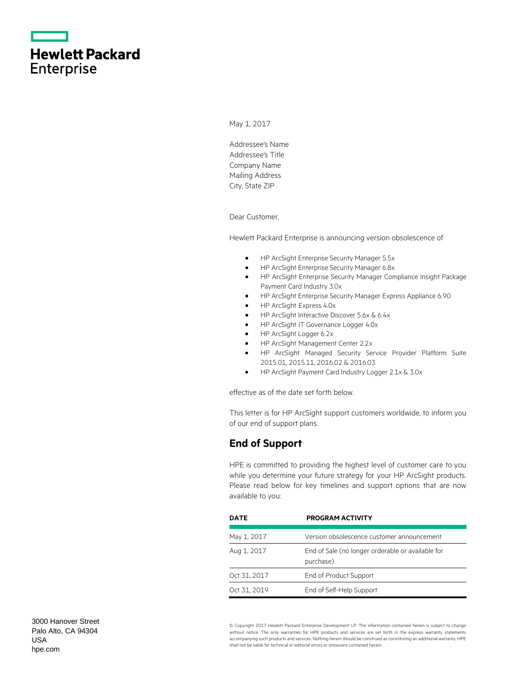|                   | <b>Hewlett Packard</b> |
|-------------------|------------------------|
| <b>Enterprise</b> |                        |

May 1, 2017

Addressee's Name Addressee's Title Company Name Mailing Address City, State ZIP

Dear Customer,

Hewlett Packard Enterprise is announcing version obsolescence of

- HP ArcSight Enterprise Security Manager 5.5x
- HP ArcSight Enterprise Security Manager 6.8x
- HP ArcSight Enterprise Security Manager Compliance Insight Package Payment Card Industry 3.0x
- HP ArcSight Enterprise Security Manager Express Appliance 6.90
- HP ArcSight Express 4.0x
- HP ArcSight Interactive Discover 5.6x & 6.4x
- HP ArcSight IT Governance Logger 4.0x
- HP ArcSight Logger 6.2x
- HP ArcSight Management Center 2.2x
- HP ArcSight Managed Security Service Provider Platform Suite 2015.01, 2015.11, 2016.02 & 2016.03
- HP ArcSight Payment Card Industry Logger 2.1x & 3.0x

effective as of the date set forth below.

This letter is for HP ArcSight support customers worldwide, to inform you of our end of support plans.

## **End of Support**

HPE is committed to providing the highest level of customer care to you while you determine your future strategy for your HP ArcSight products. Please read below for key timelines and support options that are now available to you:

| <b>DATE</b>  | <b>PROGRAM ACTIVITY</b>                                        |
|--------------|----------------------------------------------------------------|
| May 1, 2017  | Version obsolescence customer announcement                     |
| Aug 1, 2017  | End of Sale (no longer orderable or available for<br>purchase) |
| Oct 31, 2017 | End of Product Support                                         |
| Oct 31, 2019 | End of Self-Help Support                                       |

© Copyright 2017 Hewlett Packard Enterprise Development LP. The information contained herein is subject to change without notice. The only warranties for HPE products and services are set forth in the express warranty statements accompanying such products and services. Nothing herein should be construed as constituting an additional warranty. HPE shall not be liable for technical or editorial errors or omissions contained herein.

3000 Hanover Street Palo Alto, CA 94304 USA [hpe.com](http://www.hpe.com/)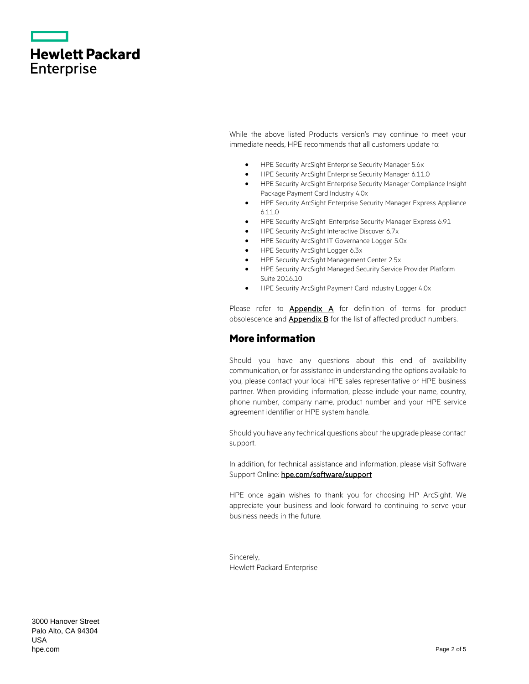|                   | <b>Hewlett Packard</b> |
|-------------------|------------------------|
| <b>Enterprise</b> |                        |

While the above listed Products version's may continue to meet your immediate needs, HPE recommends that all customers update to:

- HPE Security ArcSight Enterprise Security Manager 5.6x
- HPE Security ArcSight Enterprise Security Manager 6.11.0
- HPE Security ArcSight Enterprise Security Manager Compliance Insight Package Payment Card Industry 4.0x
- HPE Security ArcSight Enterprise Security Manager Express Appliance 6.11.0
- HPE Security ArcSight Enterprise Security Manager Express 6.91
- HPE Security ArcSight Interactive Discover 6.7x
- HPE Security ArcSight IT Governance Logger 5.0x
- HPE Security ArcSight Logger 6.3x
- HPE Security ArcSight Management Center 2.5x
- HPE Security ArcSight Managed Security Service Provider Platform Suite 2016.10
- HPE Security ArcSight Payment Card Industry Logger 4.0x

Please refer to **[Appendix A](#page-2-0)** for definition of terms for product obsolescence and **Appendix B** for the list of affected product numbers.

### **More information**

Should you have any questions about this end of availability communication, or for assistance in understanding the options available to you, please contact your local HPE sales representative or HPE business partner. When providing information, please include your name, country, phone number, company name, product number and your HPE service agreement identifier or HPE system handle.

Should you have any technical questions about the upgrade please contact support.

In addition, for technical assistance and information, please visit Software Support Online: hpe.com/software/support

HPE once again wishes to thank you for choosing HP ArcSight. We appreciate your business and look forward to continuing to serve your business needs in the future.

Sincerely, Hewlett Packard Enterprise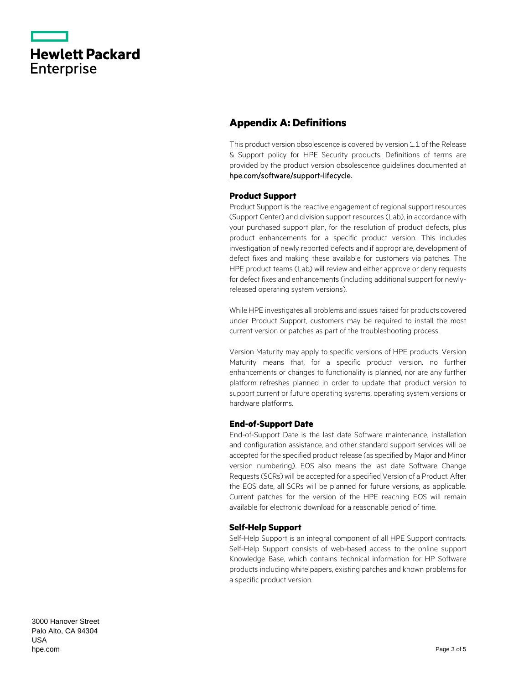|                   | <b>Hewlett Packard</b> |
|-------------------|------------------------|
| <b>Enterprise</b> |                        |

# <span id="page-2-0"></span>**Appendix A: Definitions**

This product version obsolescence is covered by version 1.1 of the Release & Support policy for HPE Security products. Definitions of terms are provided by the product version obsolescence guidelines documented at [hpe.com/software/support-lifecycle.](https://www.hpe.com/software/support-lifecycle)

#### **Product Support**

Product Support is the reactive engagement of regional support resources (Support Center) and division support resources (Lab), in accordance with your purchased support plan, for the resolution of product defects, plus product enhancements for a specific product version. This includes investigation of newly reported defects and if appropriate, development of defect fixes and making these available for customers via patches. The HPE product teams (Lab) will review and either approve or deny requests for defect fixes and enhancements (including additional support for newlyreleased operating system versions).

While HPE investigates all problems and issues raised for products covered under Product Support, customers may be required to install the most current version or patches as part of the troubleshooting process.

Version Maturity may apply to specific versions of HPE products. Version Maturity means that, for a specific product version, no further enhancements or changes to functionality is planned, nor are any further platform refreshes planned in order to update that product version to support current or future operating systems, operating system versions or hardware platforms.

#### **End-of-Support Date**

End-of-Support Date is the last date Software maintenance, installation and configuration assistance, and other standard support services will be accepted for the specified product release (as specified by Major and Minor version numbering). EOS also means the last date Software Change Requests (SCRs) will be accepted for a specified Version of a Product. After the EOS date, all SCRs will be planned for future versions, as applicable. Current patches for the version of the HPE reaching EOS will remain available for electronic download for a reasonable period of time.

#### **Self-Help Support**

Self-Help Support is an integral component of all HPE Support contracts. Self-Help Support consists of web-based access to the online support Knowledge Base, which contains technical information for HP Software products including white papers, existing patches and known problems for a specific product version.

3000 Hanover Street Palo Alto, CA 94304 USA [hpe.com](http://www.hpe.com/)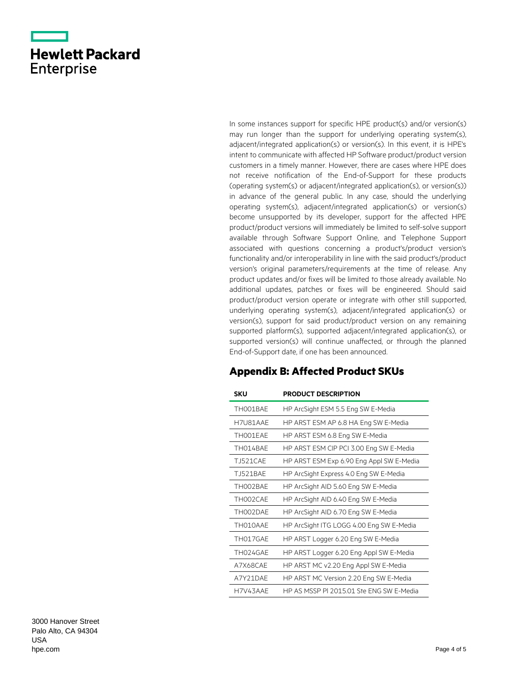|                   | <b>Hewlett Packard</b> |
|-------------------|------------------------|
| <b>Enterprise</b> |                        |

In some instances support for specific HPE product(s) and/or version(s) may run longer than the support for underlying operating system(s), adjacent/integrated application(s) or version(s). In this event, it is HPE's intent to communicate with affected HP Software product/product version customers in a timely manner. However, there are cases where HPE does not receive notification of the End-of-Support for these products (operating system(s) or adjacent/integrated application(s), or version(s)) in advance of the general public. In any case, should the underlying operating system(s), adjacent/integrated application(s) or version(s) become unsupported by its developer, support for the affected HPE product/product versions will immediately be limited to self-solve support available through Software Support Online, and Telephone Support associated with questions concerning a product's/product version's functionality and/or interoperability in line with the said product's/product version's original parameters/requirements at the time of release. Any product updates and/or fixes will be limited to those already available. No additional updates, patches or fixes will be engineered. Should said product/product version operate or integrate with other still supported, underlying operating system(s), adjacent/integrated application(s) or version(s), support for said product/product version on any remaining supported platform(s), supported adjacent/integrated application(s), or supported version(s) will continue unaffected, or through the planned End-of-Support date, if one has been announced.

## <span id="page-3-0"></span>**Appendix B: Affected Product SKUs**

| SKU             | <b>PRODUCT DESCRIPTION</b>               |
|-----------------|------------------------------------------|
| TH001BAE        | HP ArcSight ESM 5.5 Eng SW E-Media       |
| H7U81AAE        | HP ARST ESM AP 6.8 HA Eng SW E-Media     |
| TH001EAE        | HP ARST ESM 6.8 Eng SW E-Media           |
| TH014BAE        | HP ARST ESM CIP PCI 3.00 Eng SW E-Media  |
| <b>TJ521CAE</b> | HP ARST ESM Exp 6.90 Eng Appl SW E-Media |
| <b>TJ521BAE</b> | HP ArcSight Express 4.0 Eng SW E-Media   |
| TH002BAE        | HP ArcSight AID 5.60 Eng SW E-Media      |
| TH002CAE        | HP ArcSight AID 6.40 Eng SW E-Media      |
| TH002DAE        | HP ArcSight AID 6.70 Eng SW E-Media      |
| TH010AAE        | HP ArcSight ITG LOGG 4.00 Eng SW E-Media |
| TH017GAE        | HP ARST Logger 6.20 Eng SW E-Media       |
| TH024GAE        | HP ARST Logger 6.20 Eng Appl SW E-Media  |
| A7X68CAE        | HP ARST MC v2.20 Eng Appl SW E-Media     |
| A7Y21DAE        | HP ARST MC Version 2.20 Eng SW E-Media   |
| H7V43AAF        | HP AS MSSP PL 2015.01 Ste ENG SW E-Media |

3000 Hanover Street Palo Alto, CA 94304 USA [hpe.com](http://www.hpe.com/)